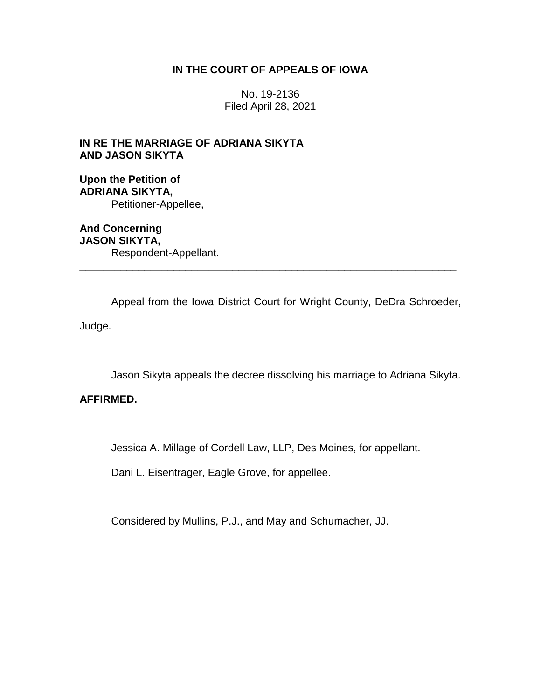## **IN THE COURT OF APPEALS OF IOWA**

No. 19-2136 Filed April 28, 2021

# **IN RE THE MARRIAGE OF ADRIANA SIKYTA AND JASON SIKYTA**

## **Upon the Petition of ADRIANA SIKYTA,** Petitioner-Appellee,

**And Concerning JASON SIKYTA,** Respondent-Appellant. \_\_\_\_\_\_\_\_\_\_\_\_\_\_\_\_\_\_\_\_\_\_\_\_\_\_\_\_\_\_\_\_\_\_\_\_\_\_\_\_\_\_\_\_\_\_\_\_\_\_\_\_\_\_\_\_\_\_\_\_\_\_\_\_

Appeal from the Iowa District Court for Wright County, DeDra Schroeder,

Judge.

Jason Sikyta appeals the decree dissolving his marriage to Adriana Sikyta.

# **AFFIRMED.**

Jessica A. Millage of Cordell Law, LLP, Des Moines, for appellant.

Dani L. Eisentrager, Eagle Grove, for appellee.

Considered by Mullins, P.J., and May and Schumacher, JJ.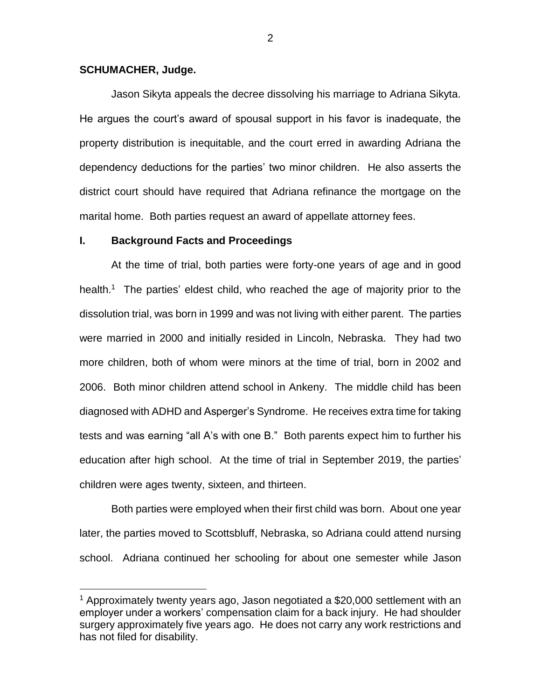### **SCHUMACHER, Judge.**

 $\overline{a}$ 

Jason Sikyta appeals the decree dissolving his marriage to Adriana Sikyta. He argues the court's award of spousal support in his favor is inadequate, the property distribution is inequitable, and the court erred in awarding Adriana the dependency deductions for the parties' two minor children. He also asserts the district court should have required that Adriana refinance the mortgage on the marital home. Both parties request an award of appellate attorney fees.

#### **I. Background Facts and Proceedings**

At the time of trial, both parties were forty-one years of age and in good health.<sup>1</sup> The parties' eldest child, who reached the age of majority prior to the dissolution trial, was born in 1999 and was not living with either parent. The parties were married in 2000 and initially resided in Lincoln, Nebraska. They had two more children, both of whom were minors at the time of trial, born in 2002 and 2006. Both minor children attend school in Ankeny. The middle child has been diagnosed with ADHD and Asperger's Syndrome. He receives extra time for taking tests and was earning "all A's with one B." Both parents expect him to further his education after high school. At the time of trial in September 2019, the parties' children were ages twenty, sixteen, and thirteen.

Both parties were employed when their first child was born. About one year later, the parties moved to Scottsbluff, Nebraska, so Adriana could attend nursing school. Adriana continued her schooling for about one semester while Jason

<sup>&</sup>lt;sup>1</sup> Approximately twenty years ago, Jason negotiated a \$20,000 settlement with an employer under a workers' compensation claim for a back injury. He had shoulder surgery approximately five years ago. He does not carry any work restrictions and has not filed for disability.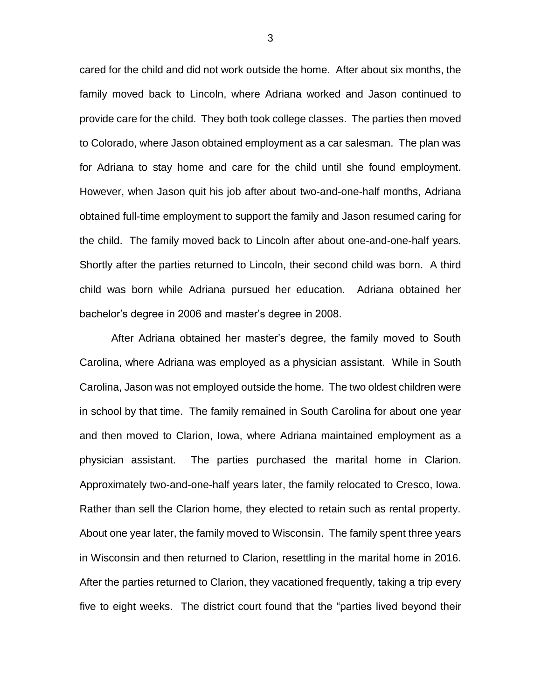cared for the child and did not work outside the home. After about six months, the family moved back to Lincoln, where Adriana worked and Jason continued to provide care for the child. They both took college classes. The parties then moved to Colorado, where Jason obtained employment as a car salesman. The plan was for Adriana to stay home and care for the child until she found employment. However, when Jason quit his job after about two-and-one-half months, Adriana obtained full-time employment to support the family and Jason resumed caring for the child. The family moved back to Lincoln after about one-and-one-half years. Shortly after the parties returned to Lincoln, their second child was born. A third child was born while Adriana pursued her education. Adriana obtained her bachelor's degree in 2006 and master's degree in 2008.

After Adriana obtained her master's degree, the family moved to South Carolina, where Adriana was employed as a physician assistant. While in South Carolina, Jason was not employed outside the home. The two oldest children were in school by that time. The family remained in South Carolina for about one year and then moved to Clarion, Iowa, where Adriana maintained employment as a physician assistant. The parties purchased the marital home in Clarion. Approximately two-and-one-half years later, the family relocated to Cresco, Iowa. Rather than sell the Clarion home, they elected to retain such as rental property. About one year later, the family moved to Wisconsin. The family spent three years in Wisconsin and then returned to Clarion, resettling in the marital home in 2016. After the parties returned to Clarion, they vacationed frequently, taking a trip every five to eight weeks. The district court found that the "parties lived beyond their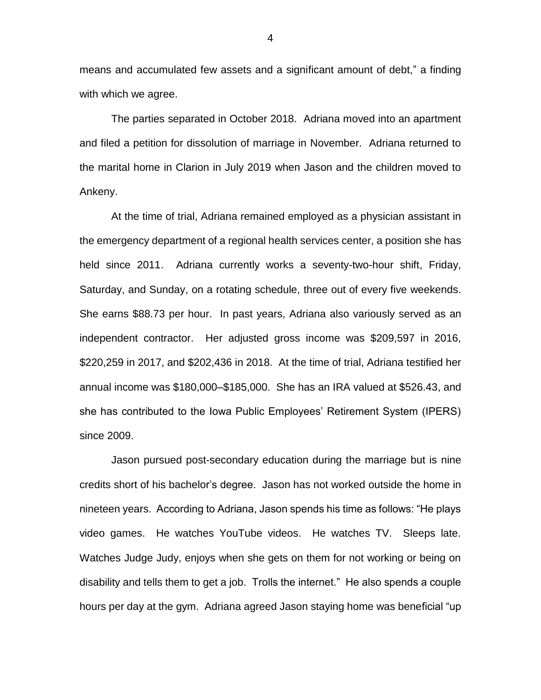means and accumulated few assets and a significant amount of debt," a finding with which we agree.

The parties separated in October 2018. Adriana moved into an apartment and filed a petition for dissolution of marriage in November. Adriana returned to the marital home in Clarion in July 2019 when Jason and the children moved to Ankeny.

At the time of trial, Adriana remained employed as a physician assistant in the emergency department of a regional health services center, a position she has held since 2011. Adriana currently works a seventy-two-hour shift, Friday, Saturday, and Sunday, on a rotating schedule, three out of every five weekends. She earns \$88.73 per hour. In past years, Adriana also variously served as an independent contractor. Her adjusted gross income was \$209,597 in 2016, \$220,259 in 2017, and \$202,436 in 2018. At the time of trial, Adriana testified her annual income was \$180,000–\$185,000. She has an IRA valued at \$526.43, and she has contributed to the Iowa Public Employees' Retirement System (IPERS) since 2009.

Jason pursued post-secondary education during the marriage but is nine credits short of his bachelor's degree. Jason has not worked outside the home in nineteen years. According to Adriana, Jason spends his time as follows: "He plays video games. He watches YouTube videos. He watches TV. Sleeps late. Watches Judge Judy, enjoys when she gets on them for not working or being on disability and tells them to get a job. Trolls the internet." He also spends a couple hours per day at the gym. Adriana agreed Jason staying home was beneficial "up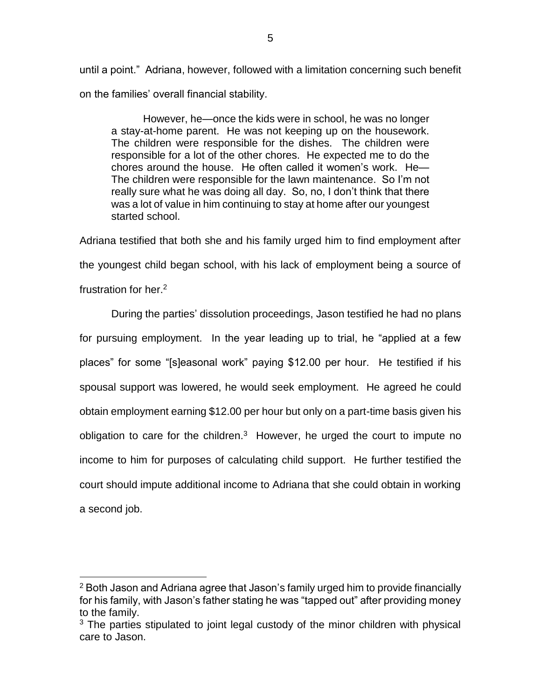until a point." Adriana, however, followed with a limitation concerning such benefit on the families' overall financial stability.

However, he—once the kids were in school, he was no longer a stay-at-home parent. He was not keeping up on the housework. The children were responsible for the dishes. The children were responsible for a lot of the other chores. He expected me to do the chores around the house. He often called it women's work. He— The children were responsible for the lawn maintenance. So I'm not really sure what he was doing all day. So, no, I don't think that there was a lot of value in him continuing to stay at home after our youngest started school.

Adriana testified that both she and his family urged him to find employment after the youngest child began school, with his lack of employment being a source of frustration for her.<sup>2</sup>

During the parties' dissolution proceedings, Jason testified he had no plans for pursuing employment. In the year leading up to trial, he "applied at a few places" for some "[s]easonal work" paying \$12.00 per hour. He testified if his spousal support was lowered, he would seek employment. He agreed he could obtain employment earning \$12.00 per hour but only on a part-time basis given his obligation to care for the children. $3$  However, he urged the court to impute no income to him for purposes of calculating child support. He further testified the court should impute additional income to Adriana that she could obtain in working a second job.

<sup>2</sup> Both Jason and Adriana agree that Jason's family urged him to provide financially for his family, with Jason's father stating he was "tapped out" after providing money to the family.

 $3$  The parties stipulated to joint legal custody of the minor children with physical care to Jason.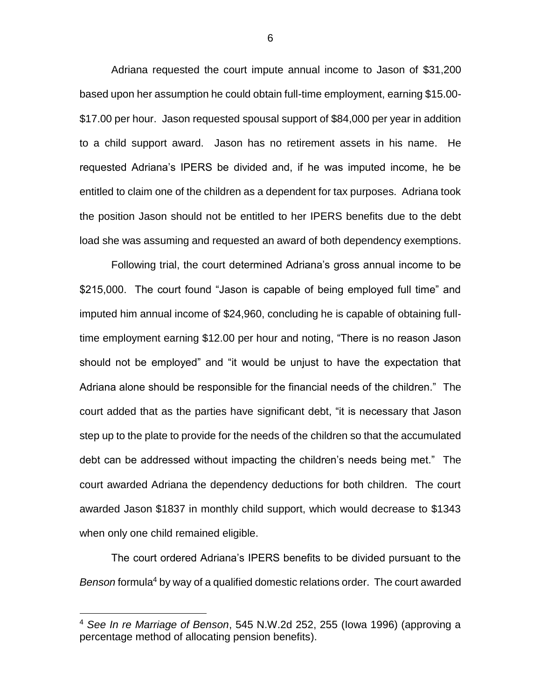Adriana requested the court impute annual income to Jason of \$31,200 based upon her assumption he could obtain full-time employment, earning \$15.00- \$17.00 per hour. Jason requested spousal support of \$84,000 per year in addition to a child support award. Jason has no retirement assets in his name. He requested Adriana's IPERS be divided and, if he was imputed income, he be entitled to claim one of the children as a dependent for tax purposes. Adriana took the position Jason should not be entitled to her IPERS benefits due to the debt load she was assuming and requested an award of both dependency exemptions.

Following trial, the court determined Adriana's gross annual income to be \$215,000. The court found "Jason is capable of being employed full time" and imputed him annual income of \$24,960, concluding he is capable of obtaining fulltime employment earning \$12.00 per hour and noting, "There is no reason Jason should not be employed" and "it would be unjust to have the expectation that Adriana alone should be responsible for the financial needs of the children." The court added that as the parties have significant debt, "it is necessary that Jason step up to the plate to provide for the needs of the children so that the accumulated debt can be addressed without impacting the children's needs being met." The court awarded Adriana the dependency deductions for both children. The court awarded Jason \$1837 in monthly child support, which would decrease to \$1343 when only one child remained eligible.

The court ordered Adriana's IPERS benefits to be divided pursuant to the *Benson* formula<sup>4</sup> by way of a qualified domestic relations order. The court awarded

<sup>4</sup> *See In re Marriage of Benson*, 545 N.W.2d 252, 255 (Iowa 1996) (approving a percentage method of allocating pension benefits).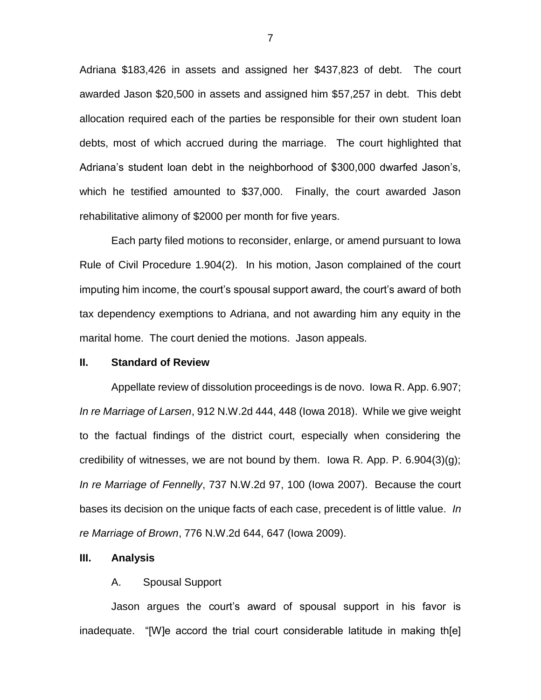Adriana \$183,426 in assets and assigned her \$437,823 of debt. The court awarded Jason \$20,500 in assets and assigned him \$57,257 in debt. This debt allocation required each of the parties be responsible for their own student loan debts, most of which accrued during the marriage. The court highlighted that Adriana's student loan debt in the neighborhood of \$300,000 dwarfed Jason's, which he testified amounted to \$37,000. Finally, the court awarded Jason rehabilitative alimony of \$2000 per month for five years.

Each party filed motions to reconsider, enlarge, or amend pursuant to Iowa Rule of Civil Procedure 1.904(2). In his motion, Jason complained of the court imputing him income, the court's spousal support award, the court's award of both tax dependency exemptions to Adriana, and not awarding him any equity in the marital home. The court denied the motions. Jason appeals.

## **II. Standard of Review**

Appellate review of dissolution proceedings is de novo. Iowa R. App. 6.907; *In re Marriage of Larsen*, 912 N.W.2d 444, 448 (Iowa 2018). While we give weight to the factual findings of the district court, especially when considering the credibility of witnesses, we are not bound by them. Iowa R. App. P.  $6.904(3)(q)$ ; *In re Marriage of Fennelly*, 737 N.W.2d 97, 100 (Iowa 2007). Because the court bases its decision on the unique facts of each case, precedent is of little value. *In re Marriage of Brown*, 776 N.W.2d 644, 647 (Iowa 2009).

## **III. Analysis**

### A. Spousal Support

Jason argues the court's award of spousal support in his favor is inadequate. "[W]e accord the trial court considerable latitude in making th[e]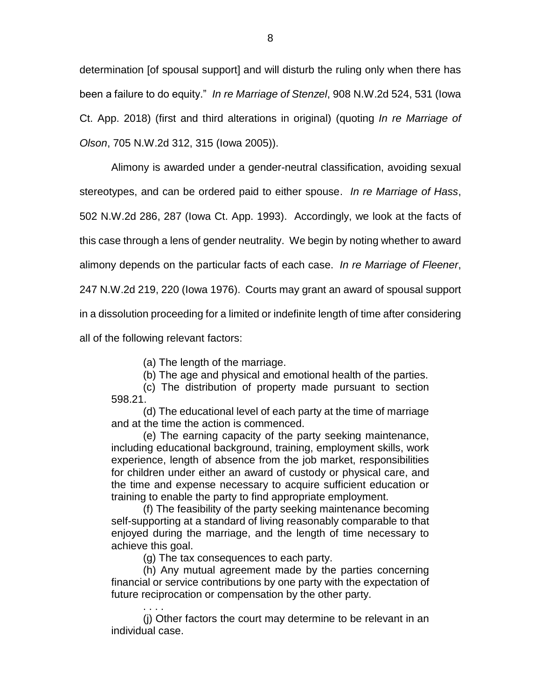determination [of spousal support] and will disturb the ruling only when there has been a failure to do equity." *In re Marriage of Stenzel*, 908 N.W.2d 524, 531 (Iowa Ct. App. 2018) (first and third alterations in original) (quoting *In re Marriage of Olson*, 705 N.W.2d 312, 315 (Iowa 2005)).

Alimony is awarded under a gender-neutral classification, avoiding sexual stereotypes, and can be ordered paid to either spouse. *In re Marriage of Hass*, 502 N.W.2d 286, 287 (Iowa Ct. App. 1993). Accordingly, we look at the facts of this case through a lens of gender neutrality. We begin by noting whether to award alimony depends on the particular facts of each case. *In re Marriage of Fleener*, 247 N.W.2d 219, 220 (Iowa 1976). Courts may grant an award of spousal support in a dissolution proceeding for a limited or indefinite length of time after considering all of the following relevant factors:

(a) The length of the marriage.

(b) The age and physical and emotional health of the parties.

(c) The distribution of property made pursuant to section 598.21.

(d) The educational level of each party at the time of marriage and at the time the action is commenced.

(e) The earning capacity of the party seeking maintenance, including educational background, training, employment skills, work experience, length of absence from the job market, responsibilities for children under either an award of custody or physical care, and the time and expense necessary to acquire sufficient education or training to enable the party to find appropriate employment.

(f) The feasibility of the party seeking maintenance becoming self-supporting at a standard of living reasonably comparable to that enjoyed during the marriage, and the length of time necessary to achieve this goal.

(g) The tax consequences to each party.

(h) Any mutual agreement made by the parties concerning financial or service contributions by one party with the expectation of future reciprocation or compensation by the other party.

. . . . (j) Other factors the court may determine to be relevant in an individual case.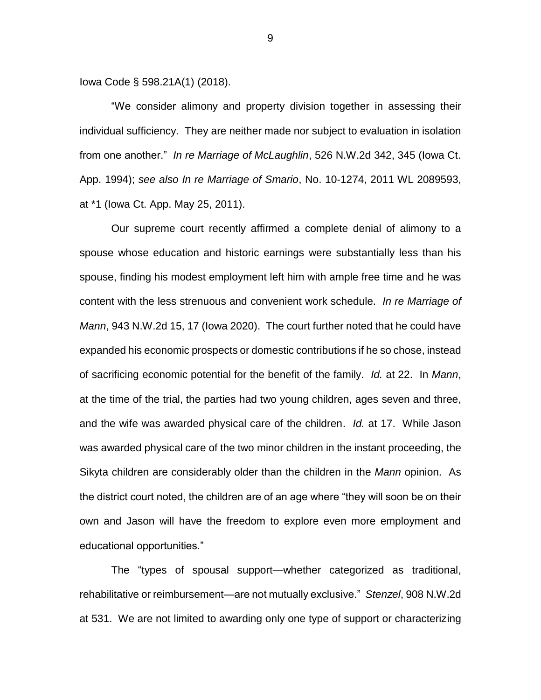Iowa Code § 598.21A(1) (2018).

"We consider alimony and property division together in assessing their individual sufficiency. They are neither made nor subject to evaluation in isolation from one another." *In re Marriage of McLaughlin*, 526 N.W.2d 342, 345 (Iowa Ct. App. 1994); *see also In re Marriage of Smario*, No. 10-1274, 2011 WL 2089593, at \*1 (Iowa Ct. App. May 25, 2011).

Our supreme court recently affirmed a complete denial of alimony to a spouse whose education and historic earnings were substantially less than his spouse, finding his modest employment left him with ample free time and he was content with the less strenuous and convenient work schedule. *In re Marriage of Mann*, 943 N.W.2d 15, 17 (Iowa 2020). The court further noted that he could have expanded his economic prospects or domestic contributions if he so chose, instead of sacrificing economic potential for the benefit of the family. *Id.* at 22. In *Mann*, at the time of the trial, the parties had two young children, ages seven and three, and the wife was awarded physical care of the children. *Id.* at 17. While Jason was awarded physical care of the two minor children in the instant proceeding, the Sikyta children are considerably older than the children in the *Mann* opinion. As the district court noted, the children are of an age where "they will soon be on their own and Jason will have the freedom to explore even more employment and educational opportunities."

The "types of spousal support—whether categorized as traditional, rehabilitative or reimbursement—are not mutually exclusive." *Stenzel*, 908 N.W.2d at 531. We are not limited to awarding only one type of support or characterizing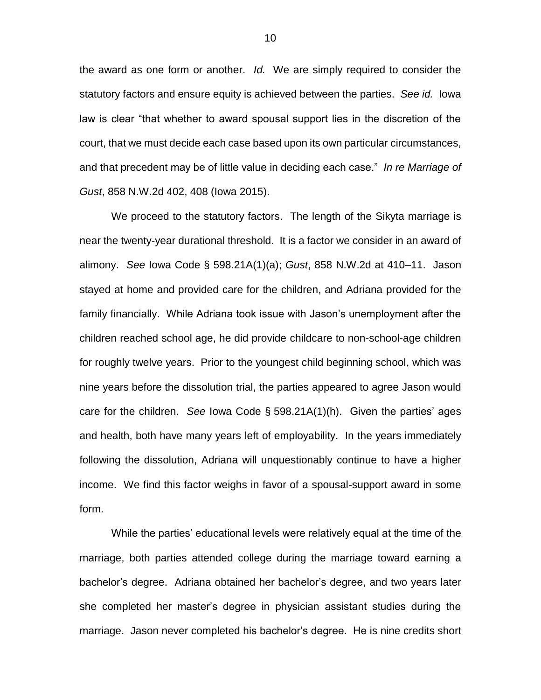the award as one form or another. *Id.* We are simply required to consider the statutory factors and ensure equity is achieved between the parties. *See id.* Iowa law is clear "that whether to award spousal support lies in the discretion of the court, that we must decide each case based upon its own particular circumstances, and that precedent may be of little value in deciding each case." *In re Marriage of Gust*, 858 N.W.2d 402, 408 (Iowa 2015).

We proceed to the statutory factors. The length of the Sikyta marriage is near the twenty-year durational threshold. It is a factor we consider in an award of alimony. *See* Iowa Code § 598.21A(1)(a); *Gust*, 858 N.W.2d at 410–11. Jason stayed at home and provided care for the children, and Adriana provided for the family financially. While Adriana took issue with Jason's unemployment after the children reached school age, he did provide childcare to non-school-age children for roughly twelve years. Prior to the youngest child beginning school, which was nine years before the dissolution trial, the parties appeared to agree Jason would care for the children. *See* Iowa Code § 598.21A(1)(h). Given the parties' ages and health, both have many years left of employability. In the years immediately following the dissolution, Adriana will unquestionably continue to have a higher income. We find this factor weighs in favor of a spousal-support award in some form.

While the parties' educational levels were relatively equal at the time of the marriage, both parties attended college during the marriage toward earning a bachelor's degree. Adriana obtained her bachelor's degree, and two years later she completed her master's degree in physician assistant studies during the marriage. Jason never completed his bachelor's degree. He is nine credits short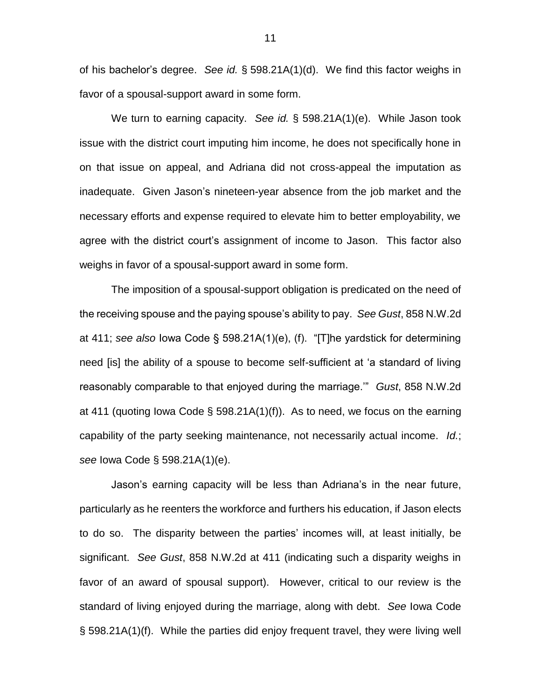of his bachelor's degree. *See id.* § 598.21A(1)(d). We find this factor weighs in favor of a spousal-support award in some form.

We turn to earning capacity. *See id.* § 598.21A(1)(e). While Jason took issue with the district court imputing him income, he does not specifically hone in on that issue on appeal, and Adriana did not cross-appeal the imputation as inadequate. Given Jason's nineteen-year absence from the job market and the necessary efforts and expense required to elevate him to better employability, we agree with the district court's assignment of income to Jason. This factor also weighs in favor of a spousal-support award in some form.

The imposition of a spousal-support obligation is predicated on the need of the receiving spouse and the paying spouse's ability to pay. *See Gust*, 858 N.W.2d at 411; *see also* Iowa Code § 598.21A(1)(e), (f). "[T]he yardstick for determining need [is] the ability of a spouse to become self-sufficient at 'a standard of living reasonably comparable to that enjoyed during the marriage.'" *Gust*, 858 N.W.2d at 411 (quoting Iowa Code § 598.21A(1)(f)). As to need, we focus on the earning capability of the party seeking maintenance, not necessarily actual income. *Id.*; *see* Iowa Code § 598.21A(1)(e).

Jason's earning capacity will be less than Adriana's in the near future, particularly as he reenters the workforce and furthers his education, if Jason elects to do so. The disparity between the parties' incomes will, at least initially, be significant. *See Gust*, 858 N.W.2d at 411 (indicating such a disparity weighs in favor of an award of spousal support). However, critical to our review is the standard of living enjoyed during the marriage, along with debt. *See* Iowa Code § 598.21A(1)(f). While the parties did enjoy frequent travel, they were living well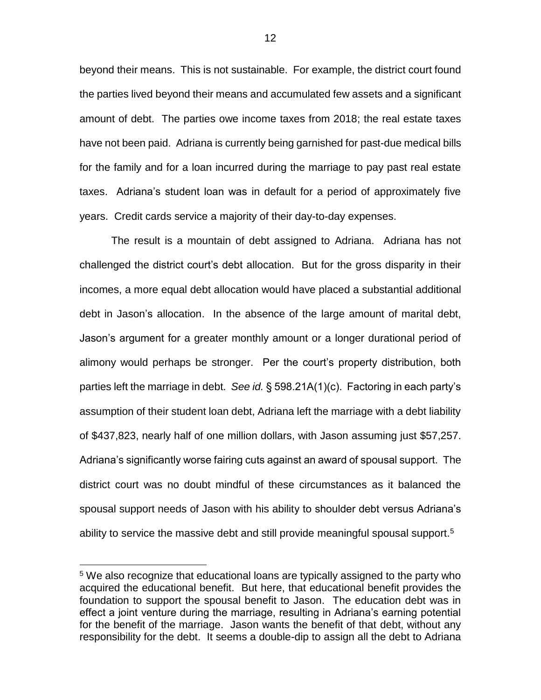beyond their means. This is not sustainable. For example, the district court found the parties lived beyond their means and accumulated few assets and a significant amount of debt. The parties owe income taxes from 2018; the real estate taxes have not been paid. Adriana is currently being garnished for past-due medical bills for the family and for a loan incurred during the marriage to pay past real estate taxes. Adriana's student loan was in default for a period of approximately five years. Credit cards service a majority of their day-to-day expenses.

The result is a mountain of debt assigned to Adriana. Adriana has not challenged the district court's debt allocation. But for the gross disparity in their incomes, a more equal debt allocation would have placed a substantial additional debt in Jason's allocation. In the absence of the large amount of marital debt, Jason's argument for a greater monthly amount or a longer durational period of alimony would perhaps be stronger. Per the court's property distribution, both parties left the marriage in debt. *See id.* § 598.21A(1)(c). Factoring in each party's assumption of their student loan debt, Adriana left the marriage with a debt liability of \$437,823, nearly half of one million dollars, with Jason assuming just \$57,257. Adriana's significantly worse fairing cuts against an award of spousal support. The district court was no doubt mindful of these circumstances as it balanced the spousal support needs of Jason with his ability to shoulder debt versus Adriana's ability to service the massive debt and still provide meaningful spousal support.<sup>5</sup>

<sup>&</sup>lt;sup>5</sup> We also recognize that educational loans are typically assigned to the party who acquired the educational benefit. But here, that educational benefit provides the foundation to support the spousal benefit to Jason. The education debt was in effect a joint venture during the marriage, resulting in Adriana's earning potential for the benefit of the marriage. Jason wants the benefit of that debt, without any responsibility for the debt. It seems a double-dip to assign all the debt to Adriana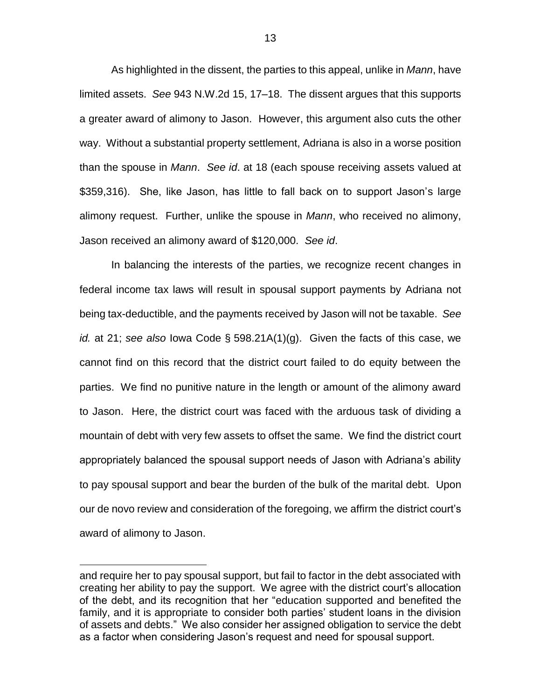As highlighted in the dissent, the parties to this appeal, unlike in *Mann*, have limited assets. *See* 943 N.W.2d 15, 17–18. The dissent argues that this supports a greater award of alimony to Jason. However, this argument also cuts the other way. Without a substantial property settlement, Adriana is also in a worse position than the spouse in *Mann*. *See id*. at 18 (each spouse receiving assets valued at \$359,316). She, like Jason, has little to fall back on to support Jason's large alimony request. Further, unlike the spouse in *Mann*, who received no alimony, Jason received an alimony award of \$120,000. *See id*.

In balancing the interests of the parties, we recognize recent changes in federal income tax laws will result in spousal support payments by Adriana not being tax-deductible, and the payments received by Jason will not be taxable. *See id.* at 21; *see also* Iowa Code § 598.21A(1)(g). Given the facts of this case, we cannot find on this record that the district court failed to do equity between the parties. We find no punitive nature in the length or amount of the alimony award to Jason. Here, the district court was faced with the arduous task of dividing a mountain of debt with very few assets to offset the same. We find the district court appropriately balanced the spousal support needs of Jason with Adriana's ability to pay spousal support and bear the burden of the bulk of the marital debt. Upon our de novo review and consideration of the foregoing, we affirm the district court's award of alimony to Jason.

and require her to pay spousal support, but fail to factor in the debt associated with creating her ability to pay the support. We agree with the district court's allocation of the debt, and its recognition that her "education supported and benefited the family, and it is appropriate to consider both parties' student loans in the division of assets and debts." We also consider her assigned obligation to service the debt as a factor when considering Jason's request and need for spousal support.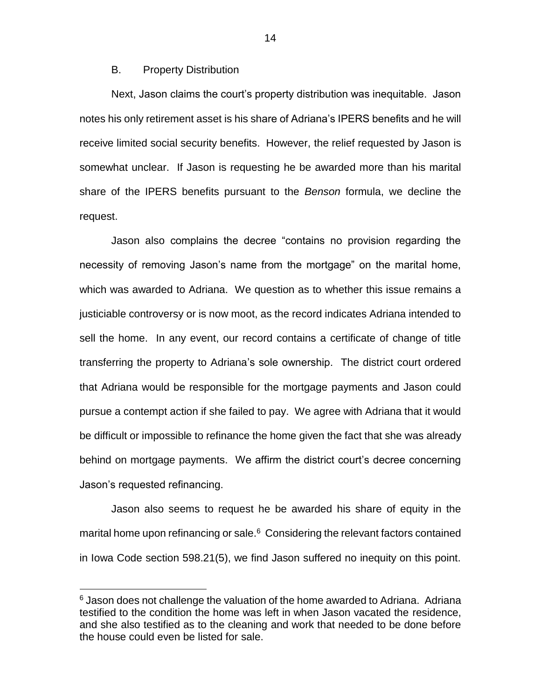## B. Property Distribution

Next, Jason claims the court's property distribution was inequitable. Jason notes his only retirement asset is his share of Adriana's IPERS benefits and he will receive limited social security benefits. However, the relief requested by Jason is somewhat unclear. If Jason is requesting he be awarded more than his marital share of the IPERS benefits pursuant to the *Benson* formula, we decline the request.

Jason also complains the decree "contains no provision regarding the necessity of removing Jason's name from the mortgage" on the marital home, which was awarded to Adriana. We question as to whether this issue remains a justiciable controversy or is now moot, as the record indicates Adriana intended to sell the home. In any event, our record contains a certificate of change of title transferring the property to Adriana's sole ownership. The district court ordered that Adriana would be responsible for the mortgage payments and Jason could pursue a contempt action if she failed to pay. We agree with Adriana that it would be difficult or impossible to refinance the home given the fact that she was already behind on mortgage payments. We affirm the district court's decree concerning Jason's requested refinancing.

Jason also seems to request he be awarded his share of equity in the marital home upon refinancing or sale.<sup>6</sup> Considering the relevant factors contained in Iowa Code section 598.21(5), we find Jason suffered no inequity on this point.

 $\overline{a}$ 

 $6$  Jason does not challenge the valuation of the home awarded to Adriana. Adriana testified to the condition the home was left in when Jason vacated the residence, and she also testified as to the cleaning and work that needed to be done before the house could even be listed for sale.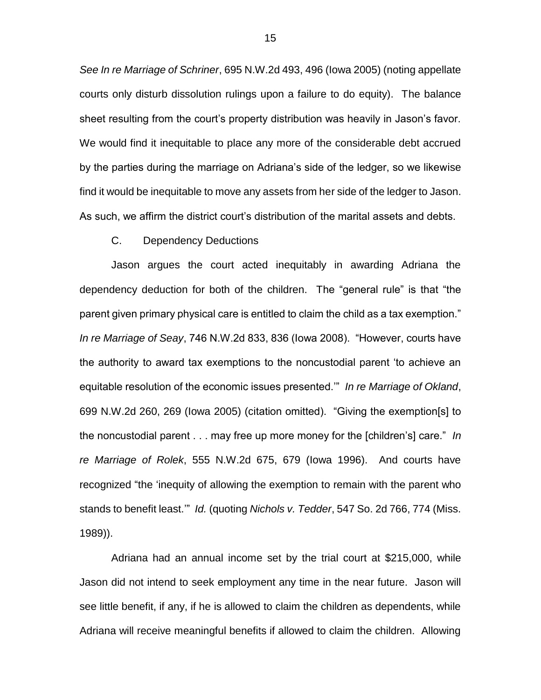*See In re Marriage of Schriner*, 695 N.W.2d 493, 496 (Iowa 2005) (noting appellate courts only disturb dissolution rulings upon a failure to do equity). The balance sheet resulting from the court's property distribution was heavily in Jason's favor. We would find it inequitable to place any more of the considerable debt accrued by the parties during the marriage on Adriana's side of the ledger, so we likewise find it would be inequitable to move any assets from her side of the ledger to Jason. As such, we affirm the district court's distribution of the marital assets and debts.

#### C. Dependency Deductions

Jason argues the court acted inequitably in awarding Adriana the dependency deduction for both of the children. The "general rule" is that "the parent given primary physical care is entitled to claim the child as a tax exemption." *In re Marriage of Seay*, 746 N.W.2d 833, 836 (Iowa 2008). "However, courts have the authority to award tax exemptions to the noncustodial parent 'to achieve an equitable resolution of the economic issues presented.'" *In re Marriage of Okland*, 699 N.W.2d 260, 269 (Iowa 2005) (citation omitted). "Giving the exemption[s] to the noncustodial parent . . . may free up more money for the [children's] care." *In re Marriage of Rolek*, 555 N.W.2d 675, 679 (Iowa 1996). And courts have recognized "the 'inequity of allowing the exemption to remain with the parent who stands to benefit least.'" *Id.* (quoting *Nichols v. Tedder*, 547 So. 2d 766, 774 (Miss. 1989)).

Adriana had an annual income set by the trial court at \$215,000, while Jason did not intend to seek employment any time in the near future. Jason will see little benefit, if any, if he is allowed to claim the children as dependents, while Adriana will receive meaningful benefits if allowed to claim the children. Allowing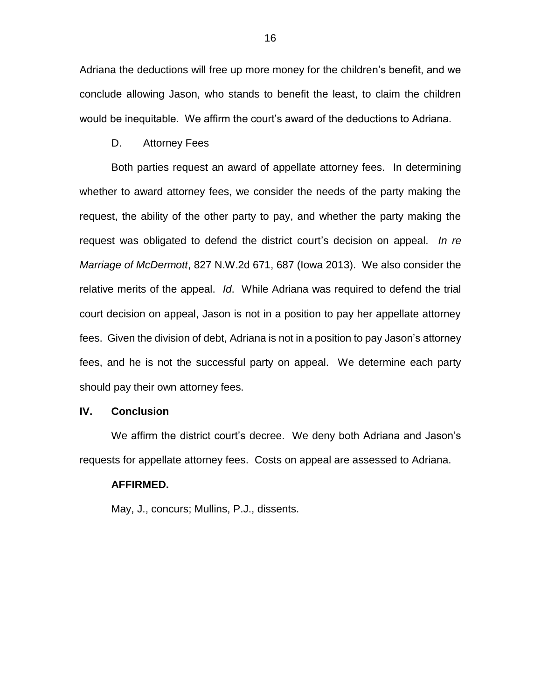Adriana the deductions will free up more money for the children's benefit, and we conclude allowing Jason, who stands to benefit the least, to claim the children would be inequitable. We affirm the court's award of the deductions to Adriana.

D. Attorney Fees

Both parties request an award of appellate attorney fees. In determining whether to award attorney fees, we consider the needs of the party making the request, the ability of the other party to pay, and whether the party making the request was obligated to defend the district court's decision on appeal. *In re Marriage of McDermott*, 827 N.W.2d 671, 687 (Iowa 2013). We also consider the relative merits of the appeal. *Id*. While Adriana was required to defend the trial court decision on appeal, Jason is not in a position to pay her appellate attorney fees. Given the division of debt, Adriana is not in a position to pay Jason's attorney fees, and he is not the successful party on appeal. We determine each party should pay their own attorney fees.

#### **IV. Conclusion**

We affirm the district court's decree. We deny both Adriana and Jason's requests for appellate attorney fees. Costs on appeal are assessed to Adriana.

#### **AFFIRMED.**

May, J., concurs; Mullins, P.J., dissents.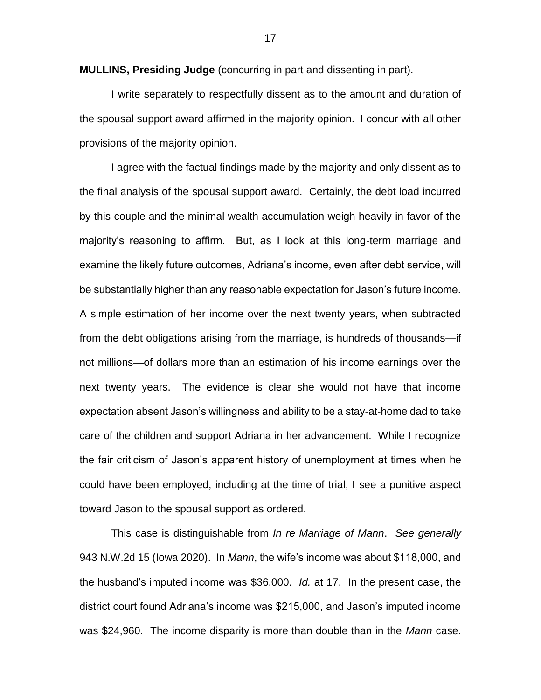**MULLINS, Presiding Judge** (concurring in part and dissenting in part).

I write separately to respectfully dissent as to the amount and duration of the spousal support award affirmed in the majority opinion. I concur with all other provisions of the majority opinion.

I agree with the factual findings made by the majority and only dissent as to the final analysis of the spousal support award. Certainly, the debt load incurred by this couple and the minimal wealth accumulation weigh heavily in favor of the majority's reasoning to affirm. But, as I look at this long-term marriage and examine the likely future outcomes, Adriana's income, even after debt service, will be substantially higher than any reasonable expectation for Jason's future income. A simple estimation of her income over the next twenty years, when subtracted from the debt obligations arising from the marriage, is hundreds of thousands—if not millions—of dollars more than an estimation of his income earnings over the next twenty years. The evidence is clear she would not have that income expectation absent Jason's willingness and ability to be a stay-at-home dad to take care of the children and support Adriana in her advancement. While I recognize the fair criticism of Jason's apparent history of unemployment at times when he could have been employed, including at the time of trial, I see a punitive aspect toward Jason to the spousal support as ordered.

This case is distinguishable from *In re Marriage of Mann*. *See generally* 943 N.W.2d 15 (Iowa 2020). In *Mann*, the wife's income was about \$118,000, and the husband's imputed income was \$36,000. *Id.* at 17. In the present case, the district court found Adriana's income was \$215,000, and Jason's imputed income was \$24,960. The income disparity is more than double than in the *Mann* case.